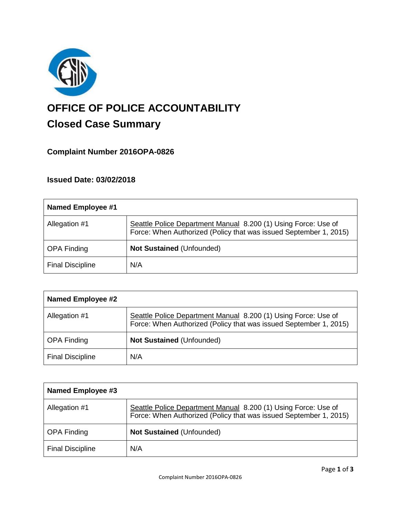

# **OFFICE OF POLICE ACCOUNTABILITY**

# **Closed Case Summary**

## **Complaint Number 2016OPA-0826**

### **Issued Date: 03/02/2018**

| Named Employee #1       |                                                                                                                                     |
|-------------------------|-------------------------------------------------------------------------------------------------------------------------------------|
| Allegation #1           | Seattle Police Department Manual 8.200 (1) Using Force: Use of<br>Force: When Authorized (Policy that was issued September 1, 2015) |
| <b>OPA Finding</b>      | <b>Not Sustained (Unfounded)</b>                                                                                                    |
| <b>Final Discipline</b> | N/A                                                                                                                                 |

| <b>Named Employee #2</b> |                                                                                                                                     |
|--------------------------|-------------------------------------------------------------------------------------------------------------------------------------|
| Allegation #1            | Seattle Police Department Manual 8.200 (1) Using Force: Use of<br>Force: When Authorized (Policy that was issued September 1, 2015) |
| <b>OPA Finding</b>       | <b>Not Sustained (Unfounded)</b>                                                                                                    |
| <b>Final Discipline</b>  | N/A                                                                                                                                 |

| Named Employee #3       |                                                                                                                                     |
|-------------------------|-------------------------------------------------------------------------------------------------------------------------------------|
| Allegation #1           | Seattle Police Department Manual 8.200 (1) Using Force: Use of<br>Force: When Authorized (Policy that was issued September 1, 2015) |
| <b>OPA Finding</b>      | <b>Not Sustained (Unfounded)</b>                                                                                                    |
| <b>Final Discipline</b> | N/A                                                                                                                                 |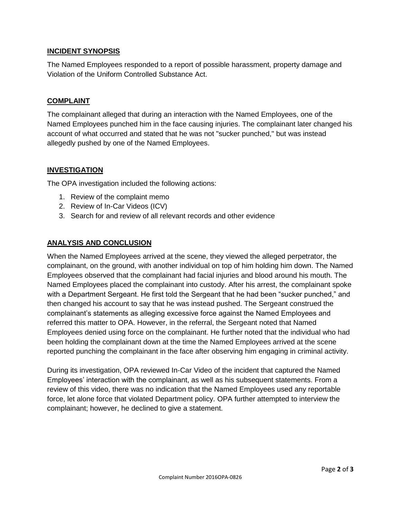#### **INCIDENT SYNOPSIS**

The Named Employees responded to a report of possible harassment, property damage and Violation of the Uniform Controlled Substance Act.

#### **COMPLAINT**

The complainant alleged that during an interaction with the Named Employees, one of the Named Employees punched him in the face causing injuries. The complainant later changed his account of what occurred and stated that he was not "sucker punched," but was instead allegedly pushed by one of the Named Employees.

#### **INVESTIGATION**

The OPA investigation included the following actions:

- 1. Review of the complaint memo
- 2. Review of In-Car Videos (ICV)
- 3. Search for and review of all relevant records and other evidence

#### **ANALYSIS AND CONCLUSION**

When the Named Employees arrived at the scene, they viewed the alleged perpetrator, the complainant, on the ground, with another individual on top of him holding him down. The Named Employees observed that the complainant had facial injuries and blood around his mouth. The Named Employees placed the complainant into custody. After his arrest, the complainant spoke with a Department Sergeant. He first told the Sergeant that he had been "sucker punched," and then changed his account to say that he was instead pushed. The Sergeant construed the complainant's statements as alleging excessive force against the Named Employees and referred this matter to OPA. However, in the referral, the Sergeant noted that Named Employees denied using force on the complainant. He further noted that the individual who had been holding the complainant down at the time the Named Employees arrived at the scene reported punching the complainant in the face after observing him engaging in criminal activity.

During its investigation, OPA reviewed In-Car Video of the incident that captured the Named Employees' interaction with the complainant, as well as his subsequent statements. From a review of this video, there was no indication that the Named Employees used any reportable force, let alone force that violated Department policy. OPA further attempted to interview the complainant; however, he declined to give a statement.